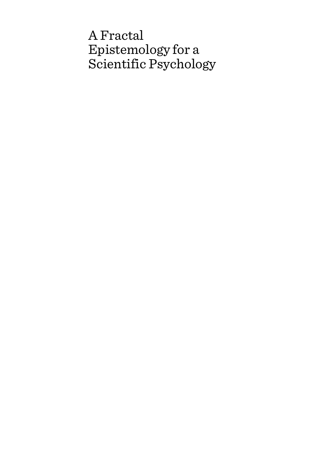# A Fractal Epistemology for a Scientific Psychology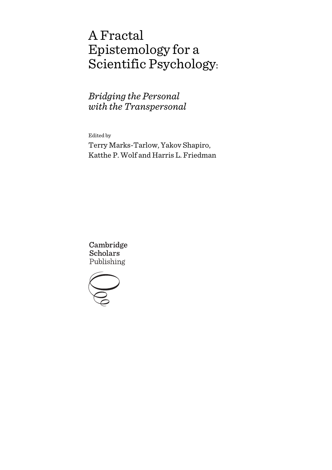# A Fractal Epistemology for a Scientific Psychology:

*Bridging the Personal with the Transpersonal*

Edited by

Terry Marks-Tarlow, Yakov Shapiro, Katthe P. Wolf and Harris L. Friedman

Cambridge **Scholars** Publishing

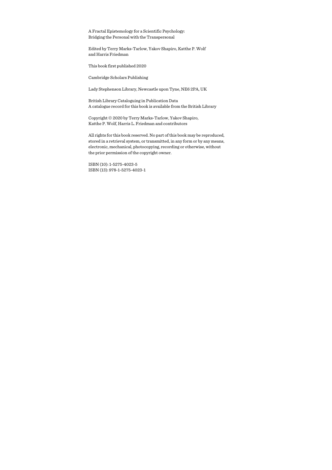A Fractal Epistemology for a Scientific Psychology: Bridging the Personal with the Transpersonal

Edited by Terry Marks-Tarlow, Yakov Shapiro, Katthe P. Wolf and Harris Friedman

This book first published 2020

Cambridge Scholars Publishing

Lady Stephenson Library, Newcastle upon Tyne, NE6 2PA, UK

British Library Cataloguing in Publication Data A catalogue record for this book is available from the British Library

Copyright © 2020 by Terry Marks-Tarlow, Yakov Shapiro, Katthe P. Wolf, Harris L. Friedman and contributors

All rights for this book reserved. No part of this book may be reproduced, stored in a retrieval system, or transmitted, in any form or by any means, electronic, mechanical, photocopying, recording or otherwise, without the prior permission of the copyright owner.

ISBN (10): 1-5275-4023-5 ISBN (13): 978-1-5275-4023-1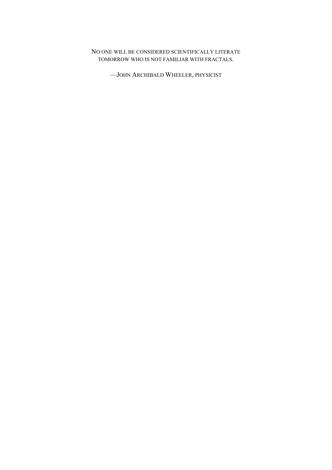### NO ONE WILL BE CONSIDERED SCIENTIFICALLY LITERATE TOMORROW WHO IS NOT FAMILIAR WITH FRACTALS.

—JOHN ARCHIBALD WHEELER, PHYSICIST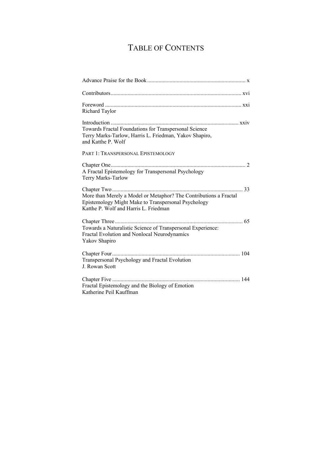## TABLE OF CONTENTS

| Richard Taylor                                                                                                                                                    |
|-------------------------------------------------------------------------------------------------------------------------------------------------------------------|
| Towards Fractal Foundations for Transpersonal Science<br>Terry Marks-Tarlow, Harris L. Friedman, Yakov Shapiro,<br>and Katthe P. Wolf                             |
| PART 1: TRANSPERSONAL EPISTEMOLOGY                                                                                                                                |
| A Fractal Epistemology for Transpersonal Psychology<br>Terry Marks-Tarlow                                                                                         |
| More than Merely a Model or Metaphor? The Contributions a Fractal<br>Epistemology Might Make to Transpersonal Psychology<br>Katthe P. Wolf and Harris L. Friedman |
| Towards a Naturalistic Science of Transpersonal Experience:<br>Fractal Evolution and Nonlocal Neurodynamics<br>Yakov Shapiro                                      |
| Transpersonal Psychology and Fractal Evolution<br>J. Rowan Scott                                                                                                  |
| Fractal Epistemology and the Biology of Emotion<br>Katherine Peil Kauffman                                                                                        |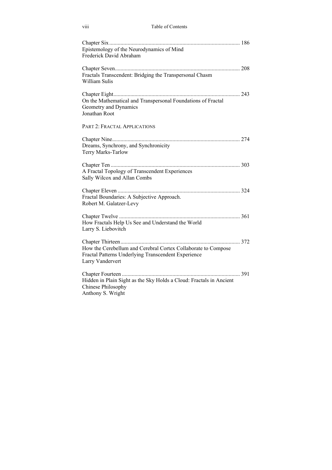| .<br>V111 | Table of Contents |
|-----------|-------------------|
|           |                   |

| Epistemology of the Neurodynamics of Mind<br>Frederick David Abraham                                                                     |
|------------------------------------------------------------------------------------------------------------------------------------------|
| Fractals Transcendent: Bridging the Transpersonal Chasm<br>William Sulis                                                                 |
| On the Mathematical and Transpersonal Foundations of Fractal<br>Geometry and Dynamics<br>Jonathan Root                                   |
| PART 2: FRACTAL APPLICATIONS                                                                                                             |
| Dreams, Synchrony, and Synchronicity<br>Terry Marks-Tarlow                                                                               |
| A Fractal Topology of Transcendent Experiences<br>Sally Wilcox and Allan Combs                                                           |
| Fractal Boundaries: A Subjective Approach.<br>Robert M. Galatzer-Levy                                                                    |
| How Fractals Help Us See and Understand the World<br>Larry S. Liebovitch                                                                 |
| How the Cerebellum and Cerebral Cortex Collaborate to Compose<br>Fractal Patterns Underlying Transcendent Experience<br>Larry Vandervert |
| Hidden in Plain Sight as the Sky Holds a Cloud: Fractals in Ancient<br>Chinese Philosophy<br>Anthony S. Wright                           |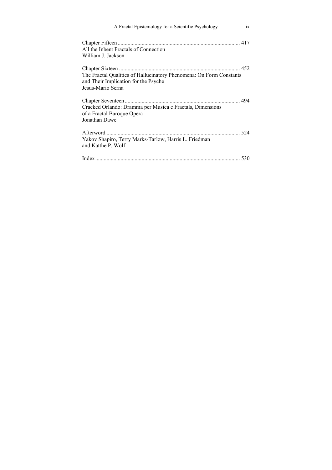| A Fractal Epistemology for a Scientific Psychology                                                                               | $\overline{1}X$ |
|----------------------------------------------------------------------------------------------------------------------------------|-----------------|
| All the Inbent Fractals of Connection<br>William J. Jackson                                                                      |                 |
| The Fractal Qualities of Hallucinatory Phenomena: On Form Constants<br>and Their Implication for the Psyche<br>Jesus-Mario Serna |                 |
| Cracked Orlando: Dramma per Musica e Fractals, Dimensions<br>of a Fractal Baroque Opera<br>Jonathan Dawe                         |                 |
| Yakov Shapiro, Terry Marks-Tarlow, Harris L. Friedman<br>and Katthe P. Wolf                                                      |                 |
|                                                                                                                                  |                 |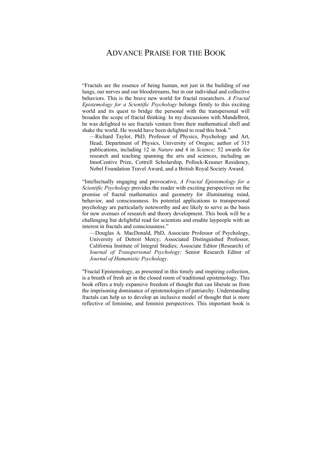## ADVANCE PRAISE FOR THE BOOK

"Fractals are the essence of being human, not just in the building of our lungs, our nerves and our bloodstreams, but in our individual and collective behaviors. This is the brave new world for fractal researchers. *A Fractal Epistemology for a Scientific Psychology* belongs firmly to this exciting world and its quest to bridge the personal with the transpersonal will broaden the scope of fractal thinking. In my discussions with Mandelbrot, he was delighted to see fractals venture from their mathematical shell and shake the world. He would have been delighted to read this book."

—Richard Taylor, PhD, Professor of Physics, Psychology and Art, Head, Department of Physics, University of Oregon; author of 315 publications, including 12 in *Nature* and 4 in *Science;* 52 awards for research and teaching spanning the arts and sciences, including an InnoCentive Prize, Cottrell Scholarship, Pollock-Krasner Residency, Nobel Foundation Travel Award, and a British Royal Society Award.

"Intellectually engaging and provocative, *A Fractal Epistemology for a Scientific Psychology* provides the reader with exciting perspectives on the promise of fractal mathematics and geometry for illuminating mind, behavior, and consciousness. Its potential applications to transpersonal psychology are particularly noteworthy and are likely to serve as the basis for new avenues of research and theory development. This book will be a challenging but delightful read for scientists and erudite laypeople with an interest in fractals and consciousness."

—Douglas A. MacDonald, PhD, Associate Professor of Psychology, University of Detroit Mercy; Associated Distinguished Professor, California Institute of Integral Studies; Associate Editor (Research) of J*ournal of Transpersonal Psychology;* Senior Research Editor of *Journal of Humanistic Psychology*.

"Fractal Epistemology, as presented in this timely and inspiring collection, is a breath of fresh air in the closed room of traditional epistemology. This book offers a truly expansive freedom of thought that can liberate us from the imprisoning dominance of epistemologies of patriarchy. Understanding fractals can help us to develop an inclusive model of thought that is more reflective of feminine, and feminist perspectives. This important book is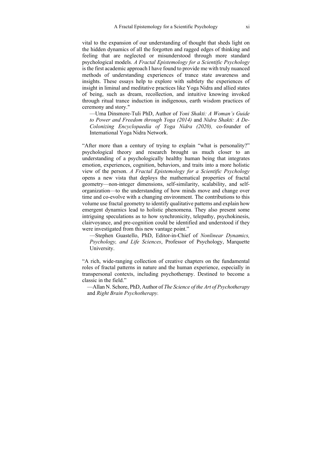vital to the expansion of our understanding of thought that sheds light on the hidden dynamics of all the forgotten and ragged edges of thinking and feeling that are neglected or misunderstood through more standard psychological models. *A Fractal Epistemology for a Scientific Psychology* is the first academic approach I have found to provide me with truly nuanced methods of understanding experiences of trance state awareness and insights. These essays help to explore with subtlety the experiences of insight in liminal and meditative practices like Yoga Nidra and allied states of being, such as dream, recollection, and intuitive knowing invoked through ritual trance induction in indigenous, earth wisdom practices of ceremony and story."

—Uma Dinsmore-Tuli PhD, Author of *Yoni Shakti: A Woman's Guide to Power and Freedom through Yoga (2014)* and *Nidra Shakti: A De-Colonizing Encyclopaedia of Yoga Nidra (2020),* co-founder of International Yoga Nidra Network.

"After more than a century of trying to explain "what is personality?" psychological theory and research brought us much closer to an understanding of a psychologically healthy human being that integrates emotion, experiences, cognition, behaviors, and traits into a more holistic view of the person. *A Fractal Epistemology for a Scientific Psychology* opens a new vista that deploys the mathematical properties of fractal geometry—non-integer dimensions, self-similarity, scalability, and selforganization—to the understanding of how minds move and change over time and co-evolve with a changing environment. The contributions to this volume use fractal geometry to identify qualitative patterns and explain how emergent dynamics lead to holistic phenomena. They also present some intriguing speculations as to how synchronicity, telepathy, psychokinesis, clairvoyance, and pre-cognition could be identified and understood if they were investigated from this new vantage point."

—Stephen Guastello, PhD, Editor-in-Chief of *Nonlinear Dynamics, Psychology, and Life Sciences*, Professor of Psychology, Marquette University.

"A rich, wide-ranging collection of creative chapters on the fundamental roles of fractal patterns in nature and the human experience, especially in transpersonal contexts, including psychotherapy. Destined to become a classic in the field."

—Allan N. Schore, PhD, Author of *The Science of the Art of Psychotherapy*  and *Right Brain Psychotherapy.*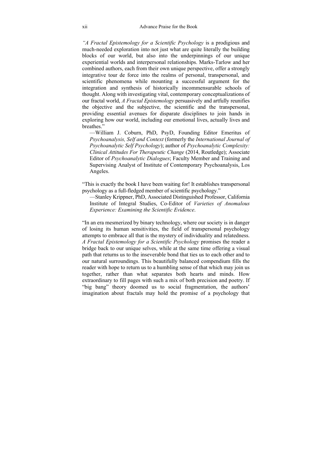*"A Fractal Epistemology for a Scientific Psychology* is a prodigious and much-needed exploration into not just what are quite literally the building blocks of our world, but also into the underpinnings of our unique experiential worlds and interpersonal relationships. Marks-Tarlow and her combined authors, each from their own unique perspective, offer a strongly integrative tour de force into the realms of personal, transpersonal, and scientific phenomena while mounting a successful argument for the integration and synthesis of historically incommensurable schools of thought. Along with investigating vital, contemporary conceptualizations of our fractal world, *A Fractal Epistemology* persuasively and artfully reunifies the objective and the subjective, the scientific and the transpersonal, providing essential avenues for disparate disciplines to join hands in exploring how our world, including our emotional lives, actually lives and breathes."

—William J. Coburn, PhD, PsyD, Founding Editor Emeritus of *Psychoanalysis, Self and Context* (formerly the *International Journal of Psychoanalytic Self Psychology*); author of *Psychoanalytic Complexity: Clinical Attitudes For Therapeutic Change* (2014, Routledge); Associate Editor of *Psychoanalytic Dialogues*; Faculty Member and Training and Supervising Analyst of Institute of Contemporary Psychoanalysis, Los Angeles.

"This is exactly the book I have been waiting for! It establishes transpersonal psychology as a full-fledged member of scientific psychology."

—Stanley Krippner, PhD, Associated Distinguished Professor, California Institute of Integral Studies, Co-Editor of *Varieties of Anomalous Experience: Examining the Scientific Evidence*.

"In an era mesmerized by binary technology, where our society is in danger of losing its human sensitivities, the field of transpersonal psychology attempts to embrace all that is the mystery of individuality and relatedness. *A Fractal Epistemology for a Scientific Psychology* promises the reader a bridge back to our unique selves, while at the same time offering a visual path that returns us to the inseverable bond that ties us to each other and to our natural surroundings. This beautifully balanced compendium fills the reader with hope to return us to a humbling sense of that which may join us together, rather than what separates both hearts and minds. How extraordinary to fill pages with such a mix of both precision and poetry. If "big bang" theory doomed us to social fragmentation, the authors' imagination about fractals may hold the promise of a psychology that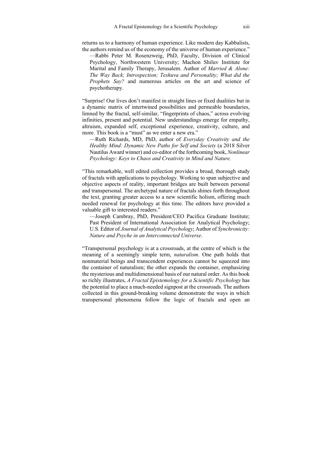returns us to a harmony of human experience. Like modern day Kabbalists, the authors remind us of the economy of the universe of human experience."

—Rabbi Peter M. Rosenzweig, PhD, Faculty, Division of Clinical Psychology, Northwestern University; Machon Shiluv Institute for Marital and Family Therapy, Jerusalem. Author of *Married & Alone: The Way Back; Introspection; Teshuva and Personality; What did the Prophets Say?* and numerous articles on the art and science of psychotherapy.

"Surprise! Our lives don't manifest in straight lines or fixed dualities but in a dynamic matrix of intertwined possibilities and permeable boundaries, limned by the fractal, self-similar, "fingerprints of chaos," across evolving infinities, present and potential. New understandings emerge for empathy, altruism, expanded self, exceptional experience, creativity, culture, and more. This book is a "must" as we enter a new era."

—Ruth Richards, MD, PhD, author of *Everyday Creativity and the Healthy Mind: Dynamic New Paths for Self and Society* (a 2018 Silver Nautilus Award winner) and co-editor of the forthcoming book, *Nonlinear Psychology: Keys to Chaos and Creativity in Mind and Nature.* 

"This remarkable, well edited collection provides a broad, thorough study of fractals with applications to psychology. Working to span subjective and objective aspects of reality, important bridges are built between personal and transpersonal. The archetypal nature of fractals shines forth throughout the text, granting greater access to a new scientific holism, offering much needed renewal for psychology at this time. The editors have provided a valuable gift to interested readers."

—Joseph Cambray, PhD, President/CEO Pacifica Graduate Institute; Past President of International Association for Analytical Psychology; U.S. Editor of *Journal of Analytical Psychology*; Author of *Synchronicity: Nature and Psyche in an Interconnected Universe*.

"Transpersonal psychology is at a crossroads, at the centre of which is the meaning of a seemingly simple term, *naturalism*. One path holds that nonmaterial beings and transcendent experiences cannot be squeezed into the container of naturalism; the other expands the container, emphasizing the mysterious and multidimensional basis of our natural order. As this book so richly illustrates, *A Fractal Epistemology for a Scientific Psychology* has the potential to place a much-needed signpost at the crossroads. The authors collected in this ground-breaking volume demonstrate the ways in which transpersonal phenomena follow the logic of fractals and open an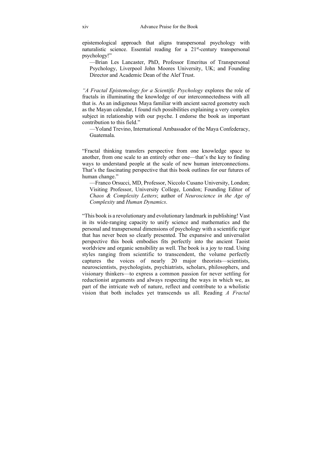epistemological approach that aligns transpersonal psychology with naturalistic science. Essential reading for a 21<sup>st</sup>-century transpersonal psychology!"

—Brian Les Lancaster, PhD, Professor Emeritus of Transpersonal Psychology, Liverpool John Moores University, UK; and Founding Director and Academic Dean of the Alef Trust.

*"A Fractal Epistemology for a Scientific Psychology* explores the role of fractals in illuminating the knowledge of our interconnectedness with all that is. As an indigenous Maya familiar with ancient sacred geometry such as the Mayan calendar, I found rich possibilities explaining a very complex subject in relationship with our psyche. I endorse the book as important contribution to this field."

—Yoland Trevino, International Ambassador of the Maya Confederacy, Guatemala.

"Fractal thinking transfers perspective from one knowledge space to another, from one scale to an entirely other one—that's the key to finding ways to understand people at the scale of new human interconnections. That's the fascinating perspective that this book outlines for our futures of human change."

—Franco Orsucci, MD, Professor, Niccolo Cusano University, London; Visiting Professor, University College, London; Founding Editor of *Chaos & Complexity Letters*; author of *Neuroscience in the Age of Complexity* and *Human Dynamics*.

"This book is a revolutionary and evolutionary landmark in publishing! Vast in its wide-ranging capacity to unify science and mathematics and the personal and transpersonal dimensions of psychology with a scientific rigor that has never been so clearly presented. The expansive and universalist perspective this book embodies fits perfectly into the ancient Taoist worldview and organic sensibility as well. The book is a joy to read. Using styles ranging from scientific to transcendent, the volume perfectly captures the voices of nearly 20 major theorists—scientists, neuroscientists, psychologists, psychiatrists, scholars, philosophers, and visionary thinkers—to express a common passion for never settling for reductionist arguments and always respecting the ways in which we, as part of the intricate web of nature, reflect and contribute to a wholistic vision that both includes yet transcends us all. Reading *A Fractal*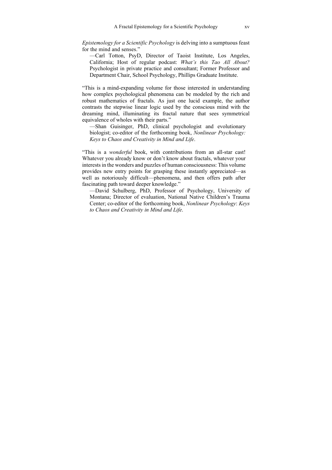*Epistemology for a Scientific Psychology* is delving into a sumptuous feast for the mind and senses."

—Carl Totton, PsyD, Director of Taoist Institute, Los Angeles, California; Host of regular podcast: *What's this Tao All About?*  Psychologist in private practice and consultant; Former Professor and Department Chair, School Psychology, Phillips Graduate Institute.

"This is a mind-expanding volume for those interested in understanding how complex psychological phenomena can be modeled by the rich and robust mathematics of fractals. As just one lucid example, the author contrasts the stepwise linear logic used by the conscious mind with the dreaming mind, illuminating its fractal nature that sees symmetrical equivalence of wholes with their parts."

—Shan Guisinger, PhD, clinical psychologist and evolutionary biologist; co-editor of the forthcoming book, *Nonlinear Psychology: Keys to Chaos and Creativity in Mind and Life*.

"This is a *wonderful* book, with contributions from an all-star cast! Whatever you already know or don't know about fractals, whatever your interests in the wonders and puzzles of human consciousness: This volume provides new entry points for grasping these instantly appreciated—as well as notoriously difficult—phenomena, and then offers path after fascinating path toward deeper knowledge."

—David Schulberg, PhD, Professor of Psychology, University of Montana; Director of evaluation, National Native Children's Trauma Center; co-editor of the forthcoming book, *Nonlinear Psychology*: *Keys to Chaos and Creativity in Mind and Life*.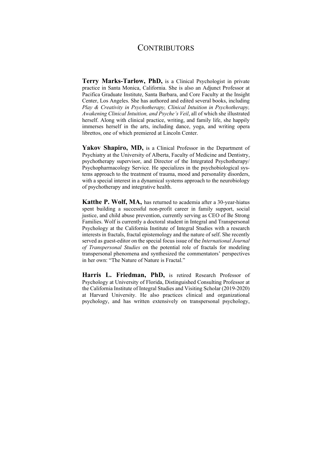## **CONTRIBUTORS**

**Terry Marks-Tarlow, PhD,** is a Clinical Psychologist in private practice in Santa Monica, California. She is also an Adjunct Professor at Pacifica Graduate Institute, Santa Barbara, and Core Faculty at the Insight Center, Los Angeles. She has authored and edited several books, including *Play & Creativity in Psychotherapy, Clinical Intuition in Psychotherapy, Awakening Clinical Intuition, and Psyche's Veil*, all of which she illustrated herself. Along with clinical practice, writing, and family life, she happily immerses herself in the arts, including dance, yoga, and writing opera librettos, one of which premiered at Lincoln Center.

Yakov Shapiro, MD, is a Clinical Professor in the Department of Psychiatry at the University of Alberta, Faculty of Medicine and Dentistry, psychotherapy supervisor, and Director of the Integrated Psychotherapy/ Psychopharmacology Service. He specializes in the psychobiological systems approach to the treatment of trauma, mood and personality disorders, with a special interest in a dynamical systems approach to the neurobiology of psychotherapy and integrative health.

**Katthe P. Wolf, MA,** has returned to academia after a 30-year-hiatus spent building a successful non-profit career in family support, social justice, and child abuse prevention, currently serving as CEO of Be Strong Families. Wolf is currently a doctoral student in Integral and Transpersonal Psychology at the California Institute of Integral Studies with a research interests in fractals, fractal epistemology and the nature of self. She recently served as guest-editor on the special focus issue of the *International Journal of Transpersonal Studies* on the potential role of fractals for modeling transpersonal phenomena and synthesized the commentators' perspectives in her own: "The Nature of Nature is Fractal."

**Harris L. Friedman, PhD,** is retired Research Professor of Psychology at University of Florida, Distinguished Consulting Professor at the California Institute of Integral Studies and Visiting Scholar (2019-2020) at Harvard University. He also practices clinical and organizational psychology, and has written extensively on transpersonal psychology,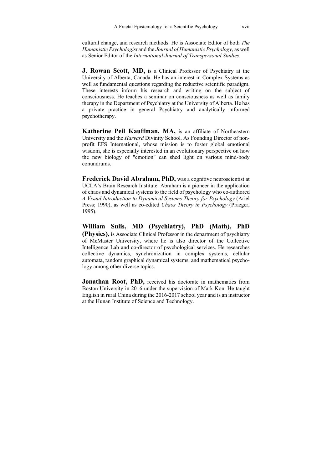cultural change, and research methods. He is Associate Editor of both *The Humanistic Psychologist* and the *Journal of Humanistic Psychology*, as well as Senior Editor of the *International Journal of Transpersonal Studies.* 

**J. Rowan Scott, MD,** is a Clinical Professor of Psychiatry at the University of Alberta, Canada. He has an interest in Complex Systems as well as fundamental questions regarding the reductive scientific paradigm. These interests inform his research and writing on the subject of consciousness. He teaches a seminar on consciousness as well as family therapy in the Department of Psychiatry at the University of Alberta. He has a private practice in general Psychiatry and analytically informed psychotherapy.

**Katherine Peil Kauffman, MA,** is an affiliate of Northeastern University and the *Harvard* Divinity School. As Founding Director of nonprofit EFS International, whose mission is to foster global emotional wisdom, she is especially interested in an evolutionary perspective on how the new biology of "emotion" can shed light on various mind-body conundrums.

**Frederick David Abraham, PhD,** was a cognitive neuroscientist at UCLA's Brain Research Institute. Abraham is a pioneer in the application of chaos and dynamical systems to the field of psychology who co-authored *A Visual Introduction to Dynamical Systems Theory for Psychology* (Ariel Press; 1990), as well as co-edited *Chaos Theory in Psychology* (Praeger, 1995).

**William Sulis, MD (Psychiatry), PhD (Math), PhD (Physics),** is Associate Clinical Professor in the department of psychiatry of McMaster University, where he is also director of the Collective Intelligence Lab and co-director of psychological services. He researches collective dynamics, synchronization in complex systems, cellular automata, random graphical dynamical systems, and mathematical psychology among other diverse topics.

**Jonathan Root, PhD,** received his doctorate in mathematics from Boston University in 2016 under the supervision of Mark Kon. He taught English in rural China during the 2016-2017 school year and is an instructor at the Hunan Institute of Science and Technology.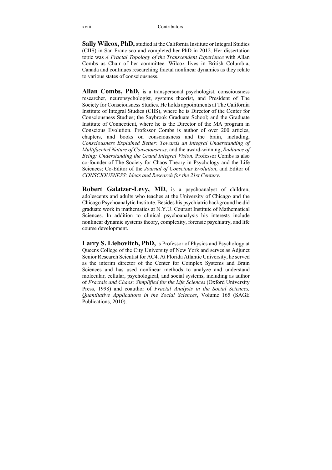**Sally Wilcox, PhD,** studied at the California Institute or Integral Studies (CIIS) in San Francisco and completed her PhD in 2012. Her dissertation topic was *A Fractal Topology of the Transcendent Experience* with Allan Combs as Chair of her committee. Wilcox lives in British Columbia, Canada and continues researching fractal nonlinear dynamics as they relate to various states of consciousness.

**Allan Combs, PhD,** is a transpersonal psychologist, consciousness researcher, neuropsychologist, systems theorist, and President of The Society for Consciousness Studies. He holds appointments at The California Institute of Integral Studies (CIIS), where he is Director of the Center for Consciousness Studies; the Saybrook Graduate School; and the Graduate Institute of Connecticut, where he is the Director of the MA program in Conscious Evolution. Professor Combs is author of over 200 articles, chapters, and books on consciousness and the brain, including, *Consciousness Explained Better: Towards an Integral Understanding of Multifaceted Nature of Consciousness,* and the award-winning, *Radiance of Being: Understanding the Grand Integral Vision.* Professor Combs is also co-founder of The Society for Chaos Theory in Psychology and the Life Sciences; Co-Editor of the *Journal of Conscious Evolution*, and Editor of *CONSCIOUSNESS: Ideas and Research for the 21st Century*.

**Robert Galatzer-Levy, MD,** is a psychoanalyst of children, adolescents and adults who teaches at the University of Chicago and the Chicago Psychoanalytic Institute. Besides his psychiatric background he did graduate work in mathematics at N.Y.U. Courant Institute of Mathematical Sciences. In addition to clinical psychoanalysis his interests include nonlinear dynamic systems theory, complexity, forensic psychiatry, and life course development.

Larry **S. Liebovitch, PhD**, is Professor of Physics and Psychology at Queens College of the City University of New York and serves as Adjunct Senior Research Scientist for AC4. At Florida Atlantic University, he served as the interim director of the Center for Complex Systems and Brain Sciences and has used nonlinear methods to analyze and understand molecular, cellular, psychological, and social systems, including as author of *Fractals and Chaos: Simplified for the Life Sciences* (Oxford University Press, 1998) and coauthor of *Fractal Analysis in the Social Sciences, Quantitative Applications in the Social Sciences*, Volume 165 (SAGE Publications, 2010).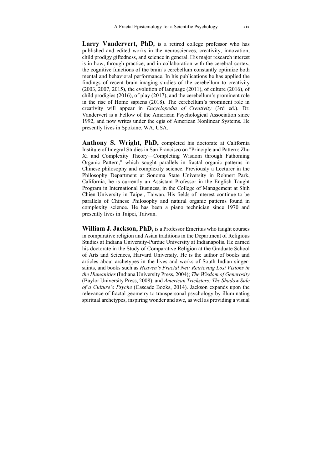Larry Vandervert, PhD, is a retired college professor who has published and edited works in the neurosciences, creativity, innovation, child prodigy giftedness, and science in general. His major research interest is in how, through practice, and in collaboration with the cerebral cortex, the cognitive functions of the brain's cerebellum constantly optimize both mental and behavioral performance. In his publications he has applied the findings of recent brain-imaging studies of the cerebellum to creativity (2003, 2007, 2015), the evolution of language (2011), of culture (2016), of child prodigies (2016), of play (2017), and the cerebellum's prominent role in the rise of Homo sapiens (2018). The cerebellum's prominent role in creativity will appear in *Encyclopedia of Creativity* (3rd ed.). Dr. Vandervert is a Fellow of the American Psychological Association since 1992, and now writes under the egis of American Nonlinear Systems. He presently lives in Spokane, WA, USA.

**Anthony S. Wright, PhD,** completed his doctorate at California Institute of Integral Studies in San Francisco on "Principle and Pattern: Zhu Xi and Complexity Theory—Completing Wisdom through Fathoming Organic Pattern," which sought parallels in fractal organic patterns in Chinese philosophy and complexity science. Previously a Lecturer in the Philosophy Department at Sonoma State University in Rohnert Park, California, he is currently an Assistant Professor in the English Taught Program in International Business, in the College of Management at Shih Chien University in Taipei, Taiwan. His fields of interest continue to be parallels of Chinese Philosophy and natural organic patterns found in complexity science. He has been a piano technician since 1970 and presently lives in Taipei, Taiwan.

**William J. Jackson, PhD,** is a Professor Emeritus who taught courses in comparative religion and Asian traditions in the Department of Religious Studies at Indiana University-Purdue University at Indianapolis. He earned his doctorate in the Study of Comparative Religion at the Graduate School of Arts and Sciences, Harvard University. He is the author of books and articles about archetypes in the lives and works of South Indian singersaints, and books such as *Heaven's Fractal Net: Retrieving Lost Visions in the Humanities* (Indiana University Press, 2004); *The Wisdom of Generosity* (Baylor University Press, 2008); and *American Tricksters: The Shadow Side of a Culture's Psyche* (Cascade Books, 2014). Jackson expands upon the relevance of fractal geometry to transpersonal psychology by illuminating spiritual archetypes, inspiring wonder and awe, as well as providing a visual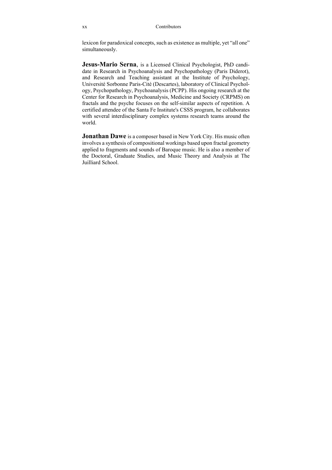lexicon for paradoxical concepts, such as existence as multiple, yet "all one" simultaneously.

**Jesus-Mario Serna**, is a Licensed Clinical Psychologist, PhD candidate in Research in Psychoanalysis and Psychopathology (Paris Diderot), and Research and Teaching assistant at the Institute of Psychology, Université Sorbonne Paris-Cité (Descartes), laboratory of Clinical Psychology, Psychopathology, Psychoanalysis (PCPP). His ongoing research at the Center for Research in Psychoanalysis, Medicine and Society (CRPMS) on fractals and the psyche focuses on the self-similar aspects of repetition. A certified attendee of the Santa Fe Institute's CSSS program, he collaborates with several interdisciplinary complex systems research teams around the world.

**Jonathan Dawe** is a composer based in New York City. His music often involves a synthesis of compositional workings based upon fractal geometry applied to fragments and sounds of Baroque music. He is also a member of the Doctoral, Graduate Studies, and Music Theory and Analysis at The Juilliard School.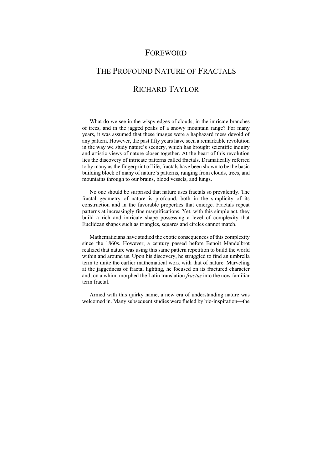### FOREWORD

# THE PROFOUND NATURE OF FRACTALS RICHARD TAYLOR

What do we see in the wispy edges of clouds, in the intricate branches of trees, and in the jagged peaks of a snowy mountain range? For many years, it was assumed that these images were a haphazard mess devoid of any pattern. However, the past fifty years have seen a remarkable revolution in the way we study nature's scenery, which has brought scientific inquiry and artistic views of nature closer together. At the heart of this revolution lies the discovery of intricate patterns called fractals. Dramatically referred to by many as the fingerprint of life, fractals have been shown to be the basic building block of many of nature's patterns, ranging from clouds, trees, and mountains through to our brains, blood vessels, and lungs.

No one should be surprised that nature uses fractals so prevalently. The fractal geometry of nature is profound, both in the simplicity of its construction and in the favorable properties that emerge. Fractals repeat patterns at increasingly fine magnifications. Yet, with this simple act, they build a rich and intricate shape possessing a level of complexity that Euclidean shapes such as triangles, squares and circles cannot match.

Mathematicians have studied the exotic consequences of this complexity since the 1860s. However, a century passed before Benoit Mandelbrot realized that nature was using this same pattern repetition to build the world within and around us. Upon his discovery, he struggled to find an umbrella term to unite the earlier mathematical work with that of nature. Marveling at the jaggedness of fractal lighting, he focused on its fractured character and, on a whim, morphed the Latin translation *fractus* into the now familiar term fractal.

Armed with this quirky name, a new era of understanding nature was welcomed in. Many subsequent studies were fueled by bio-inspiration—the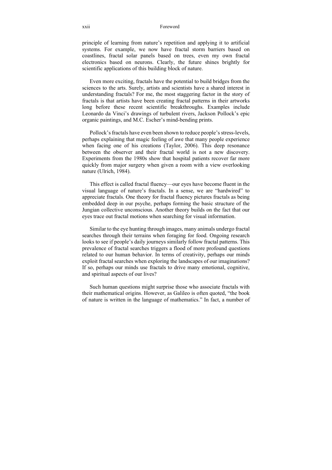#### xxii Foreword

principle of learning from nature's repetition and applying it to artificial systems. For example, we now have fractal storm barriers based on coastlines, fractal solar panels based on trees, even my own fractal electronics based on neurons. Clearly, the future shines brightly for scientific applications of this building block of nature.

Even more exciting, fractals have the potential to build bridges from the sciences to the arts. Surely, artists and scientists have a shared interest in understanding fractals? For me, the most staggering factor in the story of fractals is that artists have been creating fractal patterns in their artworks long before these recent scientific breakthroughs. Examples include Leonardo da Vinci's drawings of turbulent rivers, Jackson Pollock's epic organic paintings, and M.C. Escher's mind-bending prints.

Pollock's fractals have even been shown to reduce people's stress-levels, perhaps explaining that magic feeling of awe that many people experience when facing one of his creations (Taylor, 2006). This deep resonance between the observer and their fractal world is not a new discovery. Experiments from the 1980s show that hospital patients recover far more quickly from major surgery when given a room with a view overlooking nature (Ulrich, 1984).

This effect is called fractal fluency—our eyes have become fluent in the visual language of nature's fractals. In a sense, we are "hardwired" to appreciate fractals. One theory for fractal fluency pictures fractals as being embedded deep in our psyche, perhaps forming the basic structure of the Jungian collective unconscious. Another theory builds on the fact that our eyes trace out fractal motions when searching for visual information.

Similar to the eye hunting through images, many animals undergo fractal searches through their terrains when foraging for food. Ongoing research looks to see if people's daily journeys similarly follow fractal patterns. This prevalence of fractal searches triggers a flood of more profound questions related to our human behavior. In terms of creativity, perhaps our minds exploit fractal searches when exploring the landscapes of our imaginations? If so, perhaps our minds use fractals to drive many emotional, cognitive, and spiritual aspects of our lives?

Such human questions might surprise those who associate fractals with their mathematical origins. However, as Galileo is often quoted, "the book of nature is written in the language of mathematics." In fact, a number of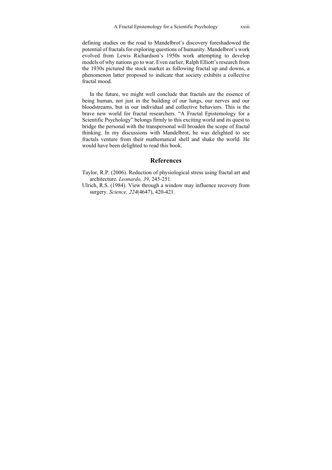defining studies on the road to Mandelbrot's discovery foreshadowed the potential of fractals for exploring questions of humanity. Mandelbrot's work evolved from Lewis Richardson's 1950s work attempting to develop models of why nations go to war. Even earlier, Ralph Elliott's research from the 1930s pictured the stock market as following fractal up and downs, a phenomenon latter proposed to indicate that society exhibits a collective fractal mood.

In the future, we might well conclude that fractals are the essence of being human, not just in the building of our lungs, our nerves and our bloodstreams, but in our individual and collective behaviors. This is the brave new world for fractal researchers. "A Fractal Epistemology for a Scientific Psychology" belongs firmly to this exciting world and its quest to bridge the personal with the transpersonal will broaden the scope of fractal thinking. In my discussions with Mandelbrot, he was delighted to see fractals venture from their mathematical shell and shake the world. He would have been delighted to read this book.

#### **References**

- Taylor, R.P. (2006). Reduction of physiological stress using fractal art and architecture. *Leonardo, 39*, 245-251.
- Ulrich, R.S. (1984). View through a window may influence recovery from surgery. *Science, 224*(4647), 420-421.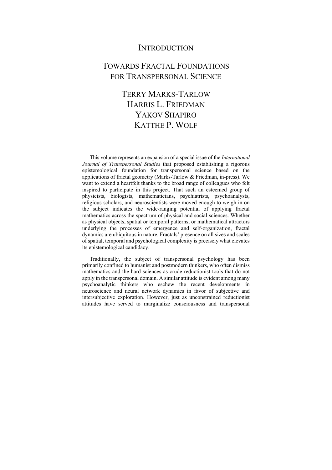### **INTRODUCTION**

## TOWARDS FRACTAL FOUNDATIONS FOR TRANSPERSONAL SCIENCE

## TERRY MARKS-TARLOW HARRIS L. FRIEDMAN YAKOV SHAPIRO KATTHE P. WOLF

This volume represents an expansion of a special issue of the *International Journal of Transpersonal Studies* that proposed establishing a rigorous epistemological foundation for transpersonal science based on the applications of fractal geometry (Marks-Tarlow & Friedman, in-press). We want to extend a heartfelt thanks to the broad range of colleagues who felt inspired to participate in this project. That such an esteemed group of physicists, biologists, mathematicians, psychiatrists, psychoanalysts, religious scholars, and neuroscientists were moved enough to weigh in on the subject indicates the wide-ranging potential of applying fractal mathematics across the spectrum of physical and social sciences. Whether as physical objects, spatial or temporal patterns, or mathematical attractors underlying the processes of emergence and self-organization, fractal dynamics are ubiquitous in nature. Fractals' presence on all sizes and scales of spatial, temporal and psychological complexity is precisely what elevates its epistemological candidacy.

Traditionally, the subject of transpersonal psychology has been primarily confined to humanist and postmodern thinkers, who often dismiss mathematics and the hard sciences as crude reductionist tools that do not apply in the transpersonal domain. A similar attitude is evident among many psychoanalytic thinkers who eschew the recent developments in neuroscience and neural network dynamics in favor of subjective and intersubjective exploration. However, just as unconstrained reductionist attitudes have served to marginalize consciousness and transpersonal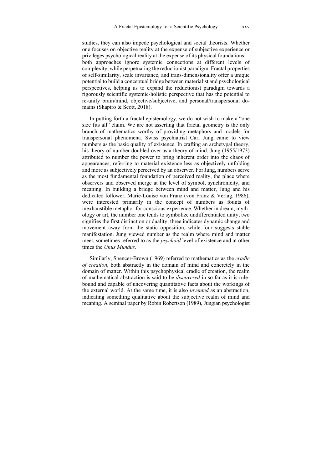studies, they can also impede psychological and social theorists. Whether one focuses on objective reality at the expense of subjective experience or privileges psychological reality at the expense of its physical foundations both approaches ignore systemic connections at different levels of complexity, while perpetuating the reductionist paradigm. Fractal properties of self-similarity, scale invariance, and trans-dimensionality offer a unique potential to build a conceptual bridge between materialist and psychological perspectives, helping us to expand the reductionist paradigm towards a rigorously scientific systemic-holistic perspective that has the potential to re-unify brain/mind, objective/subjective, and personal/transpersonal domains (Shapiro & Scott, 2018).

In putting forth a fractal epistemology, we do not wish to make a "one size fits all" claim. We are not asserting that fractal geometry is the only branch of mathematics worthy of providing metaphors and models for transpersonal phenomena. Swiss psychiatrist Carl Jung came to view numbers as the basic quality of existence. In crafting an archetypal theory, his theory of number doubled over as a theory of mind. Jung (1955/1973) attributed to number the power to bring inherent order into the chaos of appearances, referring to material existence less as objectively unfolding and more as subjectively perceived by an observer. For Jung, numbers serve as the most fundamental foundation of perceived reality, the place where observers and observed merge at the level of symbol, synchronicity, and meaning. In building a bridge between mind and matter, Jung and his dedicated follower, Marie-Louise von Franz (von Franz & Verlag, 1986), were interested primarily in the concept of numbers as founts of inexhaustible metaphor for conscious experience. Whether in dream, mythology or art, the number one tends to symbolize undifferentiated unity; two signifies the first distinction or duality; three indicates dynamic change and movement away from the static opposition, while four suggests stable manifestation. Jung viewed number as the realm where mind and matter meet, sometimes referred to as the *psychoid* level of existence and at other times the *Unus Mundus*.

Similarly, Spencer-Brown (1969) referred to mathematics as the *cradle of creation*, both abstractly in the domain of mind and concretely in the domain of matter. Within this psychophysical cradle of creation, the realm of mathematical abstraction is said to be *discovered* in so far as it is rulebound and capable of uncovering quantitative facts about the workings of the external world. At the same time, it is also *invented* as an abstraction, indicating something qualitative about the subjective realm of mind and meaning. A seminal paper by Robin Robertson (1989), Jungian psychologist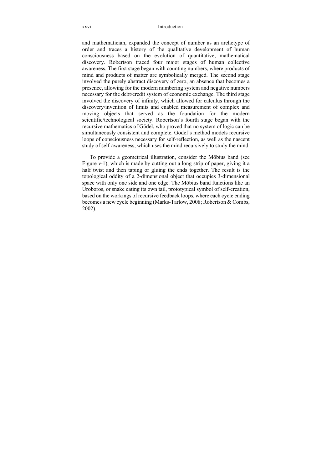#### xxvi Introduction

and mathematician, expanded the concept of number as an archetype of order and traces a history of the qualitative development of human consciousness based on the evolution of quantitative, mathematical discovery. Robertson traced four major stages of human collective awareness. The first stage began with counting numbers, where products of mind and products of matter are symbolically merged. The second stage involved the purely abstract discovery of zero, an absence that becomes a presence, allowing for the modern numbering system and negative numbers necessary for the debt/credit system of economic exchange. The third stage involved the discovery of infinity, which allowed for calculus through the discovery/invention of limits and enabled measurement of complex and moving objects that served as the foundation for the modern scientific/technological society. Robertson's fourth stage began with the recursive mathematics of Gödel, who proved that no system of logic can be simultaneously consistent and complete. Gödel's method models recursive loops of consciousness necessary for self-reflection, as well as the nascent study of self-awareness, which uses the mind recursively to study the mind.

To provide a geometrical illustration, consider the Möbius band (see Figure *v*-1), which is made by cutting out a long strip of paper, giving it a half twist and then taping or gluing the ends together. The result is the topological oddity of a 2-dimensional object that occupies 3-dimensional space with only one side and one edge. The Möbius band functions like an Uroboros, or snake eating its own tail, prototypical symbol of self-creation, based on the workings of recursive feedback loops, where each cycle ending becomes a new cycle beginning (Marks-Tarlow, 2008; Robertson & Combs, 2002).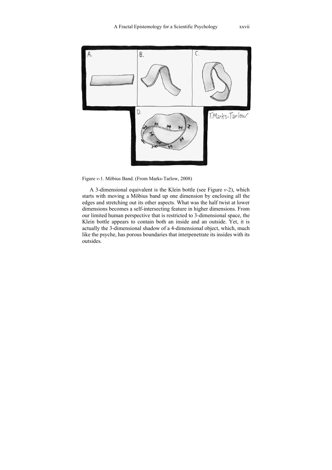

Figure *v*-1. Möbius Band. (From Marks-Tarlow, 2008)

A 3-dimensional equivalent is the Klein bottle (see Figure *v*-2), which starts with moving a Möbius band up one dimension by enclosing all the edges and stretching out its other aspects. What was the half twist at lower dimensions becomes a self-intersecting feature in higher dimensions. From our limited human perspective that is restricted to 3-dimensional space, the Klein bottle appears to contain both an inside and an outside. Yet, it is actually the 3-dimensional shadow of a 4-dimensional object, which, much like the psyche, has porous boundaries that interpenetrate its insides with its outsides.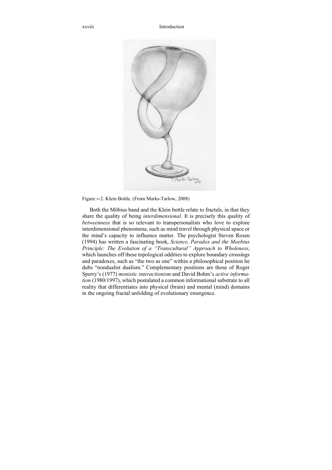xxviii Introduction



Figure *v*-2. Klein Bottle. (From Marks-Tarlow, 2008)

Both the Möbius band and the Klein bottle relate to fractals, in that they share the quality of being *interdimensional*. It is precisely this quality of *betweenness* that is so relevant to transpersonalists who love to explore interdimensional phenomena, such as mind travel through physical space or the mind's capacity to influence matter. The psychologist Steven Rosen (1994) has written a fascinating book, *Science, Paradox and the Moebius Principle: The Evolution of a "Transcultural" Approach to Wholeness*, which launches off these topological oddities to explore boundary crossings and paradoxes, such as "the two as one" within a philosophical position he dubs "nondualist dualism." Complementary positions are those of Roger Sperry's (1977) *monistic interactionism* and David Bohm's *active information* (1980/1997), which postulated a common informational substrate to all reality that differentiates into physical (brain) and mental (mind) domains in the ongoing fractal unfolding of evolutionary emergence.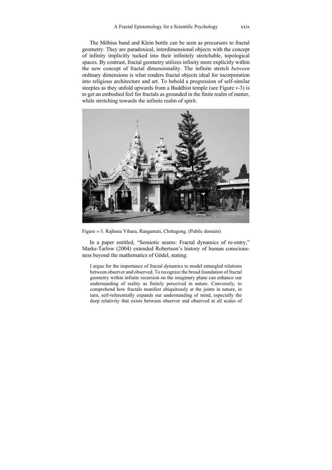The Möbius band and Klein bottle can be seen as precursors to fractal geometry. They are paradoxical, interdimensional objects with the concept of infinity implicitly tucked into their infinitely stretchable, topological spaces. By contrast, fractal geometry utilizes infinity more explicitly within the new concept of fractal dimensionality. The infinite stretch *between* ordinary dimensions is what renders fractal objects ideal for incorporation into religious architecture and art. To behold a progression of self-similar steeples as they unfold upwards from a Buddhist temple (see Figure *v*-3) is to get an embodied feel for fractals as grounded in the finite realm of matter, while stretching towards the infinite realm of spirit.



Figure *v*-3. Rajbana Vihara, Rangamati, Chittagong. (Public domain)

In a paper entitled, "Semiotic seams: Fractal dynamics of re-entry," Marks-Tarlow (2004) extended Robertson's history of human consciousness beyond the mathematics of Gödel, stating:

I argue for the importance of fractal dynamics to model entangled relations between observer and observed. To recognize the broad foundation of fractal geometry within infinite recursion on the imaginary plane can enhance our understanding of reality as finitely perceived in nature. Conversely, to comprehend how fractals manifest ubiquitously at the joints in nature, in turn, self-referentially expands our understanding of mind, especially the deep relativity that exists between observer and observed at all scales of